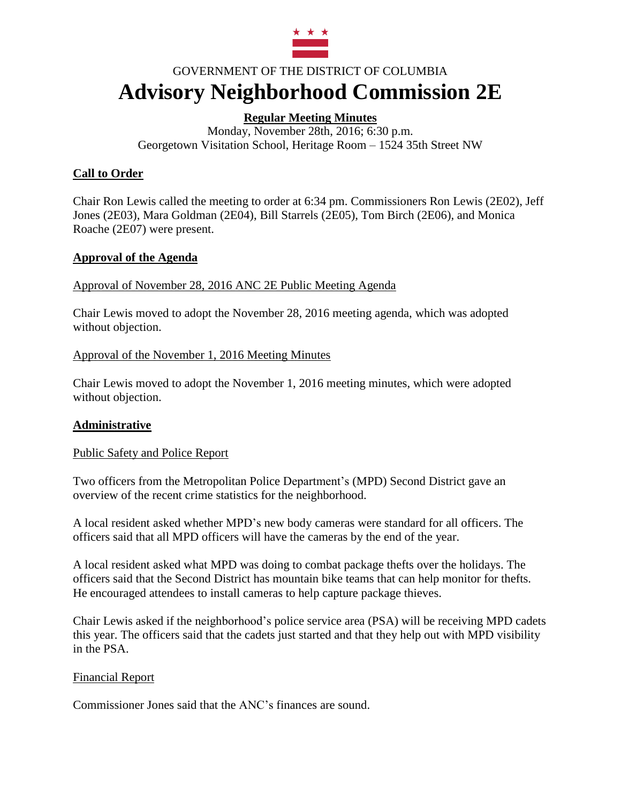

# GOVERNMENT OF THE DISTRICT OF COLUMBIA **Advisory Neighborhood Commission 2E**

# **Regular Meeting Minutes**

Monday, November 28th, 2016; 6:30 p.m. Georgetown Visitation School, Heritage Room – 1524 35th Street NW

# **Call to Order**

Chair Ron Lewis called the meeting to order at 6:34 pm. Commissioners Ron Lewis (2E02), Jeff Jones (2E03), Mara Goldman (2E04), Bill Starrels (2E05), Tom Birch (2E06), and Monica Roache (2E07) were present.

## **Approval of the Agenda**

Approval of November 28, 2016 ANC 2E Public Meeting Agenda

Chair Lewis moved to adopt the November 28, 2016 meeting agenda, which was adopted without objection.

Approval of the November 1, 2016 Meeting Minutes

Chair Lewis moved to adopt the November 1, 2016 meeting minutes, which were adopted without objection.

# **Administrative**

Public Safety and Police Report

Two officers from the Metropolitan Police Department's (MPD) Second District gave an overview of the recent crime statistics for the neighborhood.

A local resident asked whether MPD's new body cameras were standard for all officers. The officers said that all MPD officers will have the cameras by the end of the year.

A local resident asked what MPD was doing to combat package thefts over the holidays. The officers said that the Second District has mountain bike teams that can help monitor for thefts. He encouraged attendees to install cameras to help capture package thieves.

Chair Lewis asked if the neighborhood's police service area (PSA) will be receiving MPD cadets this year. The officers said that the cadets just started and that they help out with MPD visibility in the PSA.

# Financial Report

Commissioner Jones said that the ANC's finances are sound.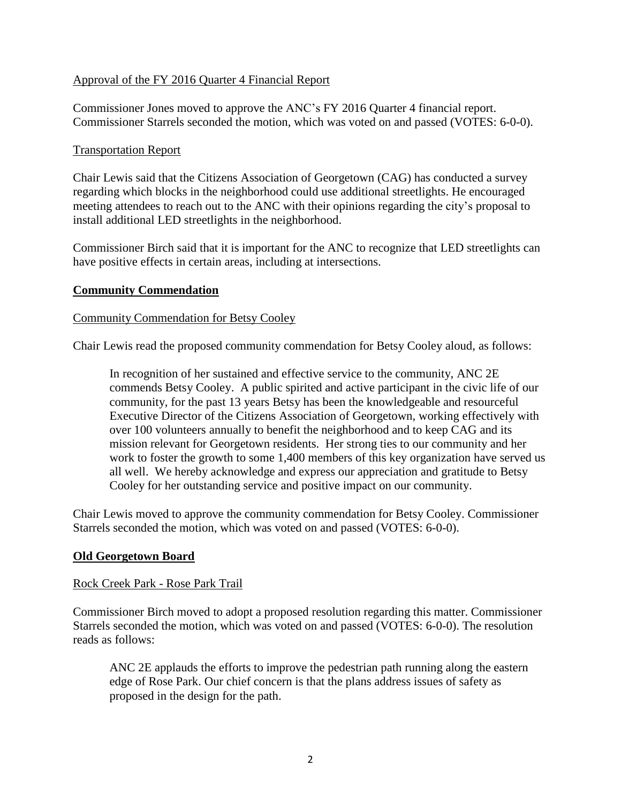#### Approval of the FY 2016 Quarter 4 Financial Report

Commissioner Jones moved to approve the ANC's FY 2016 Quarter 4 financial report. Commissioner Starrels seconded the motion, which was voted on and passed (VOTES: 6-0-0).

#### Transportation Report

Chair Lewis said that the Citizens Association of Georgetown (CAG) has conducted a survey regarding which blocks in the neighborhood could use additional streetlights. He encouraged meeting attendees to reach out to the ANC with their opinions regarding the city's proposal to install additional LED streetlights in the neighborhood.

Commissioner Birch said that it is important for the ANC to recognize that LED streetlights can have positive effects in certain areas, including at intersections.

#### **Community Commendation**

#### Community Commendation for Betsy Cooley

Chair Lewis read the proposed community commendation for Betsy Cooley aloud, as follows:

In recognition of her sustained and effective service to the community, ANC 2E commends Betsy Cooley. A public spirited and active participant in the civic life of our community, for the past 13 years Betsy has been the knowledgeable and resourceful Executive Director of the Citizens Association of Georgetown, working effectively with over 100 volunteers annually to benefit the neighborhood and to keep CAG and its mission relevant for Georgetown residents. Her strong ties to our community and her work to foster the growth to some 1,400 members of this key organization have served us all well. We hereby acknowledge and express our appreciation and gratitude to Betsy Cooley for her outstanding service and positive impact on our community.

Chair Lewis moved to approve the community commendation for Betsy Cooley. Commissioner Starrels seconded the motion, which was voted on and passed (VOTES: 6-0-0).

#### **Old Georgetown Board**

#### Rock Creek Park - Rose Park Trail

Commissioner Birch moved to adopt a proposed resolution regarding this matter. Commissioner Starrels seconded the motion, which was voted on and passed (VOTES: 6-0-0). The resolution reads as follows:

ANC 2E applauds the efforts to improve the pedestrian path running along the eastern edge of Rose Park. Our chief concern is that the plans address issues of safety as proposed in the design for the path.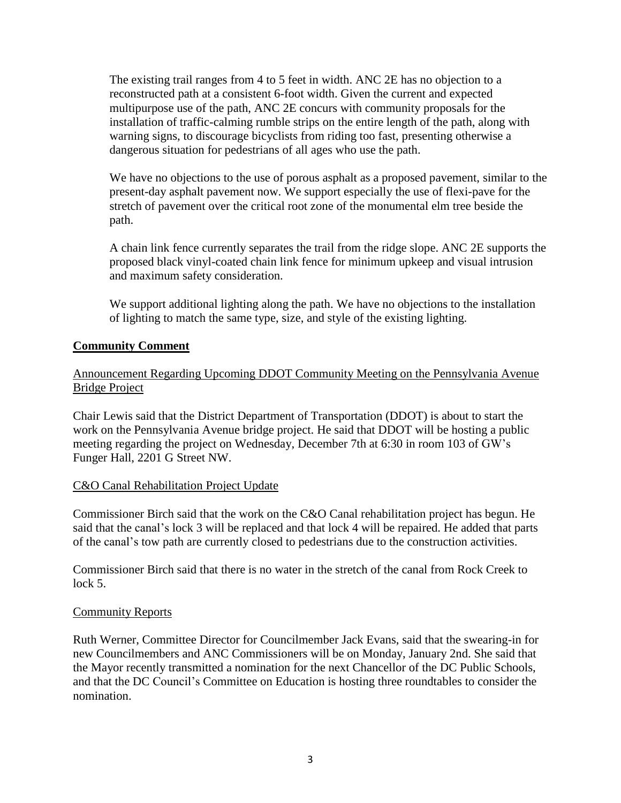The existing trail ranges from 4 to 5 feet in width. ANC 2E has no objection to a reconstructed path at a consistent 6-foot width. Given the current and expected multipurpose use of the path, ANC 2E concurs with community proposals for the installation of traffic-calming rumble strips on the entire length of the path, along with warning signs, to discourage bicyclists from riding too fast, presenting otherwise a dangerous situation for pedestrians of all ages who use the path.

We have no objections to the use of porous asphalt as a proposed pavement, similar to the present-day asphalt pavement now. We support especially the use of flexi-pave for the stretch of pavement over the critical root zone of the monumental elm tree beside the path.

A chain link fence currently separates the trail from the ridge slope. ANC 2E supports the proposed black vinyl-coated chain link fence for minimum upkeep and visual intrusion and maximum safety consideration.

We support additional lighting along the path. We have no objections to the installation of lighting to match the same type, size, and style of the existing lighting.

## **Community Comment**

## Announcement Regarding Upcoming DDOT Community Meeting on the Pennsylvania Avenue Bridge Project

Chair Lewis said that the District Department of Transportation (DDOT) is about to start the work on the Pennsylvania Avenue bridge project. He said that DDOT will be hosting a public meeting regarding the project on Wednesday, December 7th at 6:30 in room 103 of GW's Funger Hall, 2201 G Street NW.

#### C&O Canal Rehabilitation Project Update

Commissioner Birch said that the work on the C&O Canal rehabilitation project has begun. He said that the canal's lock 3 will be replaced and that lock 4 will be repaired. He added that parts of the canal's tow path are currently closed to pedestrians due to the construction activities.

Commissioner Birch said that there is no water in the stretch of the canal from Rock Creek to lock 5.

#### Community Reports

Ruth Werner, Committee Director for Councilmember Jack Evans, said that the swearing-in for new Councilmembers and ANC Commissioners will be on Monday, January 2nd. She said that the Mayor recently transmitted a nomination for the next Chancellor of the DC Public Schools, and that the DC Council's Committee on Education is hosting three roundtables to consider the nomination.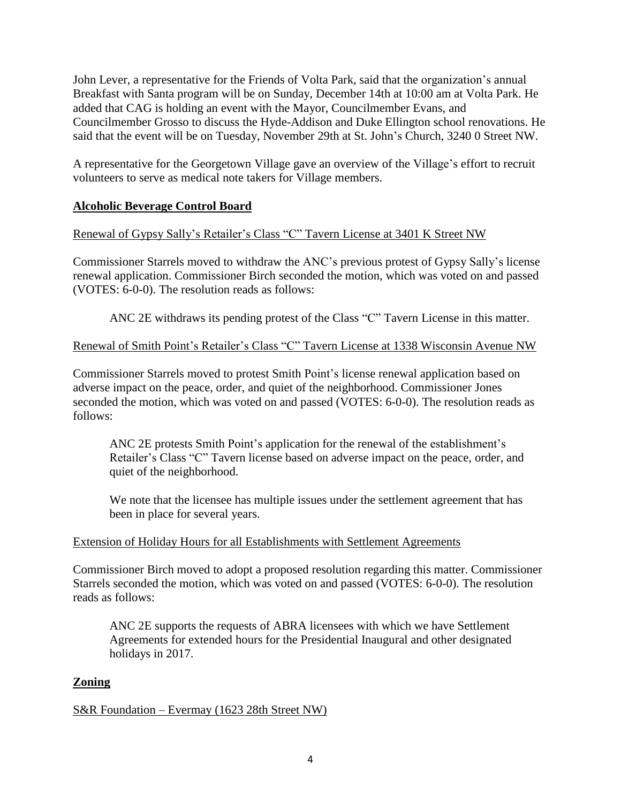John Lever, a representative for the Friends of Volta Park, said that the organization's annual Breakfast with Santa program will be on Sunday, December 14th at 10:00 am at Volta Park. He added that CAG is holding an event with the Mayor, Councilmember Evans, and Councilmember Grosso to discuss the Hyde-Addison and Duke Ellington school renovations. He said that the event will be on Tuesday, November 29th at St. John's Church, 3240 0 Street NW.

A representative for the Georgetown Village gave an overview of the Village's effort to recruit volunteers to serve as medical note takers for Village members.

# **Alcoholic Beverage Control Board**

# Renewal of Gypsy Sally's Retailer's Class "C" Tavern License at 3401 K Street NW

Commissioner Starrels moved to withdraw the ANC's previous protest of Gypsy Sally's license renewal application. Commissioner Birch seconded the motion, which was voted on and passed (VOTES: 6-0-0). The resolution reads as follows:

ANC 2E withdraws its pending protest of the Class "C" Tavern License in this matter.

# Renewal of Smith Point's Retailer's Class "C" Tavern License at 1338 Wisconsin Avenue NW

Commissioner Starrels moved to protest Smith Point's license renewal application based on adverse impact on the peace, order, and quiet of the neighborhood. Commissioner Jones seconded the motion, which was voted on and passed (VOTES: 6-0-0). The resolution reads as follows:

ANC 2E protests Smith Point's application for the renewal of the establishment's Retailer's Class "C" Tavern license based on adverse impact on the peace, order, and quiet of the neighborhood.

We note that the licensee has multiple issues under the settlement agreement that has been in place for several years.

# Extension of Holiday Hours for all Establishments with Settlement Agreements

Commissioner Birch moved to adopt a proposed resolution regarding this matter. Commissioner Starrels seconded the motion, which was voted on and passed (VOTES: 6-0-0). The resolution reads as follows:

ANC 2E supports the requests of ABRA licensees with which we have Settlement Agreements for extended hours for the Presidential Inaugural and other designated holidays in 2017.

# **Zoning**

S&R Foundation – Evermay (1623 28th Street NW)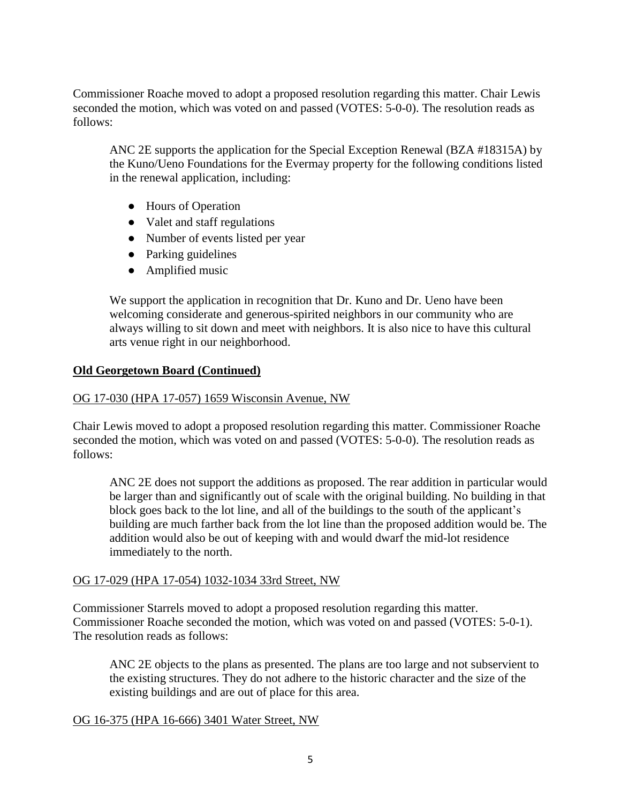Commissioner Roache moved to adopt a proposed resolution regarding this matter. Chair Lewis seconded the motion, which was voted on and passed (VOTES: 5-0-0). The resolution reads as follows:

ANC 2E supports the application for the Special Exception Renewal (BZA #18315A) by the Kuno/Ueno Foundations for the Evermay property for the following conditions listed in the renewal application, including:

- Hours of Operation
- Valet and staff regulations
- Number of events listed per year
- Parking guidelines
- Amplified music

We support the application in recognition that Dr. Kuno and Dr. Ueno have been welcoming considerate and generous-spirited neighbors in our community who are always willing to sit down and meet with neighbors. It is also nice to have this cultural arts venue right in our neighborhood.

## **Old Georgetown Board (Continued)**

## OG 17-030 (HPA 17-057) 1659 Wisconsin Avenue, NW

Chair Lewis moved to adopt a proposed resolution regarding this matter. Commissioner Roache seconded the motion, which was voted on and passed (VOTES: 5-0-0). The resolution reads as follows:

ANC 2E does not support the additions as proposed. The rear addition in particular would be larger than and significantly out of scale with the original building. No building in that block goes back to the lot line, and all of the buildings to the south of the applicant's building are much farther back from the lot line than the proposed addition would be. The addition would also be out of keeping with and would dwarf the mid-lot residence immediately to the north.

#### OG 17-029 (HPA 17-054) 1032-1034 33rd Street, NW

Commissioner Starrels moved to adopt a proposed resolution regarding this matter. Commissioner Roache seconded the motion, which was voted on and passed (VOTES: 5-0-1). The resolution reads as follows:

ANC 2E objects to the plans as presented. The plans are too large and not subservient to the existing structures. They do not adhere to the historic character and the size of the existing buildings and are out of place for this area.

#### OG 16-375 (HPA 16-666) 3401 Water Street, NW